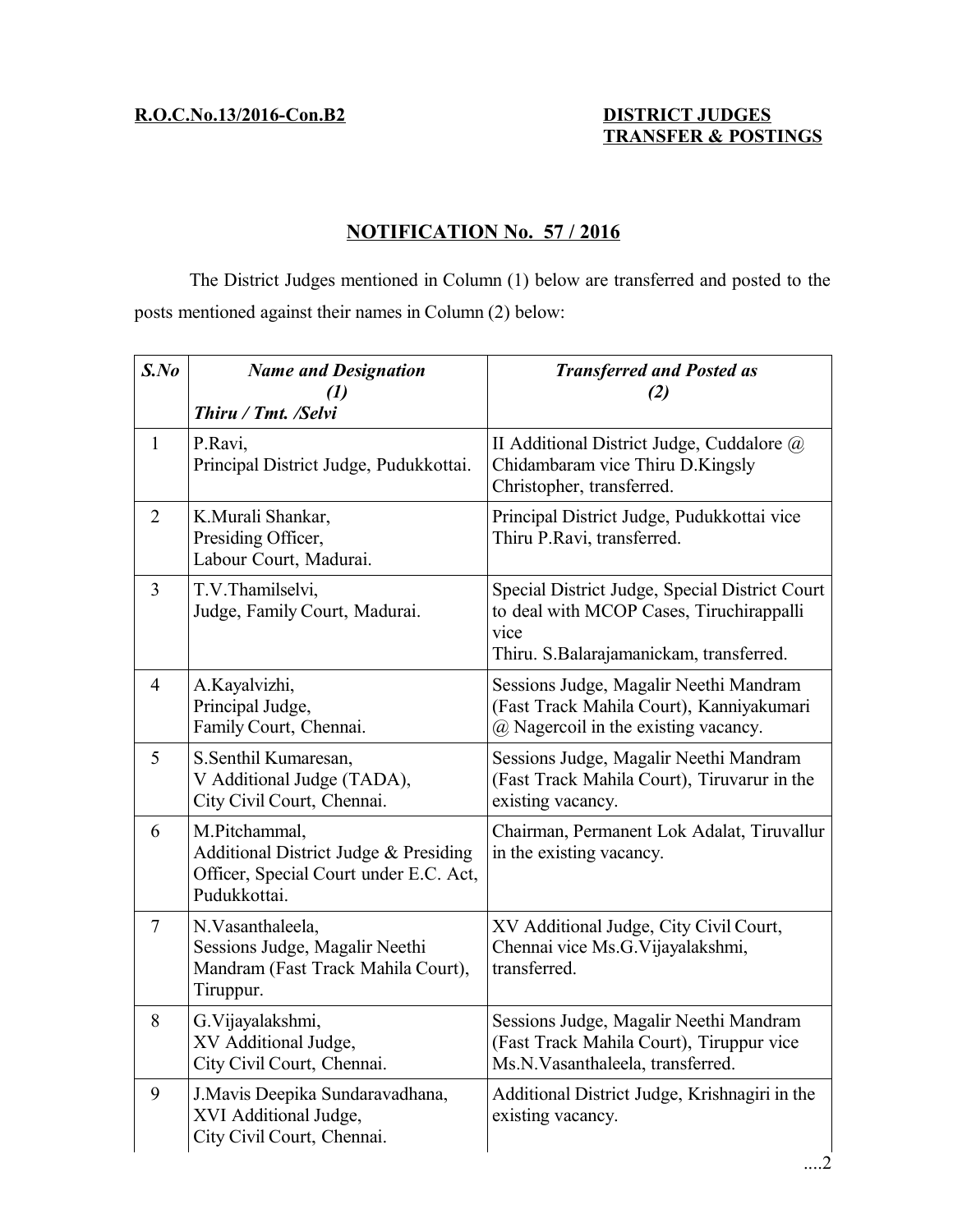# **R.O.C.No.13/2016-Con.B2 DISTRICT JUDGES**

# **TRANSFER & POSTINGS**

# **NOTIFICATION No. 57 / 2016**

The District Judges mentioned in Column (1) below are transferred and posted to the posts mentioned against their names in Column (2) below:

| $S$ .No        | <b>Name and Designation</b><br>$\mathcal{L}(I)$<br>Thiru / Tmt. /Selvi                                           | <b>Transferred and Posted as</b><br>(2)                                                                                                       |
|----------------|------------------------------------------------------------------------------------------------------------------|-----------------------------------------------------------------------------------------------------------------------------------------------|
| $\mathbf{1}$   | P.Ravi,<br>Principal District Judge, Pudukkottai.                                                                | II Additional District Judge, Cuddalore $\omega$<br>Chidambaram vice Thiru D.Kingsly<br>Christopher, transferred.                             |
| $\overline{2}$ | K.Murali Shankar,<br>Presiding Officer,<br>Labour Court, Madurai.                                                | Principal District Judge, Pudukkottai vice<br>Thiru P.Ravi, transferred.                                                                      |
| 3              | T.V.Thamilselvi,<br>Judge, Family Court, Madurai.                                                                | Special District Judge, Special District Court<br>to deal with MCOP Cases, Tiruchirappalli<br>vice<br>Thiru. S.Balarajamanickam, transferred. |
| $\overline{4}$ | A.Kayalvizhi,<br>Principal Judge,<br>Family Court, Chennai.                                                      | Sessions Judge, Magalir Neethi Mandram<br>(Fast Track Mahila Court), Kanniyakumari<br>(a) Nagercoil in the existing vacancy.                  |
| 5              | S.Senthil Kumaresan,<br>V Additional Judge (TADA),<br>City Civil Court, Chennai.                                 | Sessions Judge, Magalir Neethi Mandram<br>(Fast Track Mahila Court), Tiruvarur in the<br>existing vacancy.                                    |
| 6              | M.Pitchammal,<br>Additional District Judge & Presiding<br>Officer, Special Court under E.C. Act,<br>Pudukkottai. | Chairman, Permanent Lok Adalat, Tiruvallur<br>in the existing vacancy.                                                                        |
| $\tau$         | N.Vasanthaleela,<br>Sessions Judge, Magalir Neethi<br>Mandram (Fast Track Mahila Court),<br>Tiruppur.            | XV Additional Judge, City Civil Court,<br>Chennai vice Ms.G. Vijayalakshmi,<br>transferred.                                                   |
| 8              | G. Vijayalakshmi,<br>XV Additional Judge,<br>City Civil Court, Chennai.                                          | Sessions Judge, Magalir Neethi Mandram<br>(Fast Track Mahila Court), Tiruppur vice<br>Ms.N.Vasanthaleela, transferred.                        |
| 9              | J. Mavis Deepika Sundaravadhana,<br>XVI Additional Judge,<br>City Civil Court, Chennai.                          | Additional District Judge, Krishnagiri in the<br>existing vacancy.                                                                            |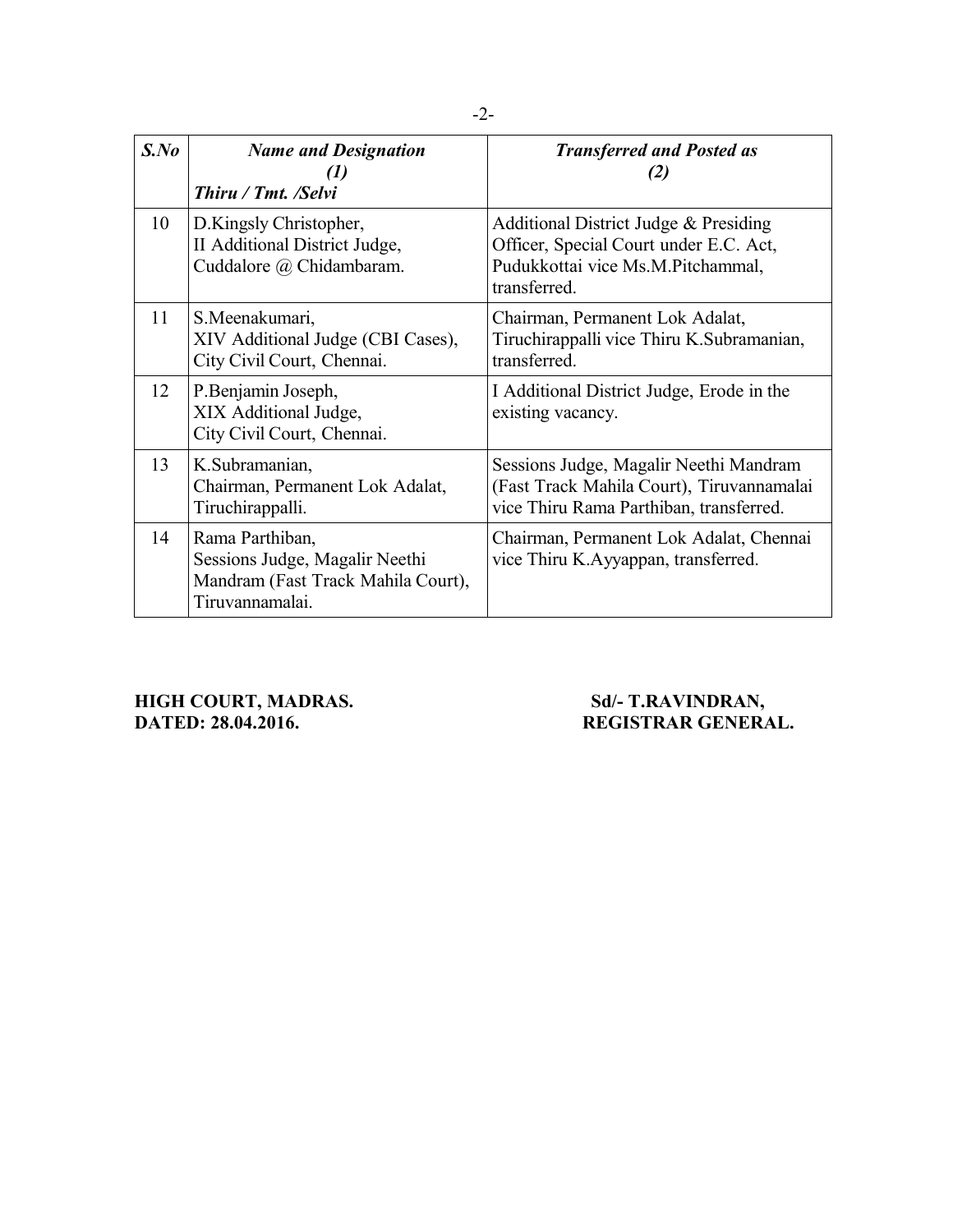| $S$ .No | <b>Name and Designation</b><br>(1)<br>Thiru / Tmt. /Selvi                                                  | <b>Transferred and Posted as</b><br>(2)                                                                                              |
|---------|------------------------------------------------------------------------------------------------------------|--------------------------------------------------------------------------------------------------------------------------------------|
| 10      | D.Kingsly Christopher,<br>II Additional District Judge,<br>Cuddalore @ Chidambaram.                        | Additional District Judge & Presiding<br>Officer, Special Court under E.C. Act,<br>Pudukkottai vice Ms.M.Pitchammal,<br>transferred. |
| 11      | S.Meenakumari,<br>XIV Additional Judge (CBI Cases),<br>City Civil Court, Chennai.                          | Chairman, Permanent Lok Adalat,<br>Tiruchirappalli vice Thiru K.Subramanian,<br>transferred.                                         |
| 12      | P.Benjamin Joseph,<br>XIX Additional Judge,<br>City Civil Court, Chennai.                                  | I Additional District Judge, Erode in the<br>existing vacancy.                                                                       |
| 13      | K.Subramanian,<br>Chairman, Permanent Lok Adalat,<br>Tiruchirappalli.                                      | Sessions Judge, Magalir Neethi Mandram<br>(Fast Track Mahila Court), Tiruvannamalai<br>vice Thiru Rama Parthiban, transferred.       |
| 14      | Rama Parthiban,<br>Sessions Judge, Magalir Neethi<br>Mandram (Fast Track Mahila Court),<br>Tiruvannamalai. | Chairman, Permanent Lok Adalat, Chennai<br>vice Thiru K.Ayyappan, transferred.                                                       |

# **HIGH COURT, MADRAS.** Sd/- T.RAVINDRAN, **DATED: 28.04.2016. REGISTRAR GENERAL.**